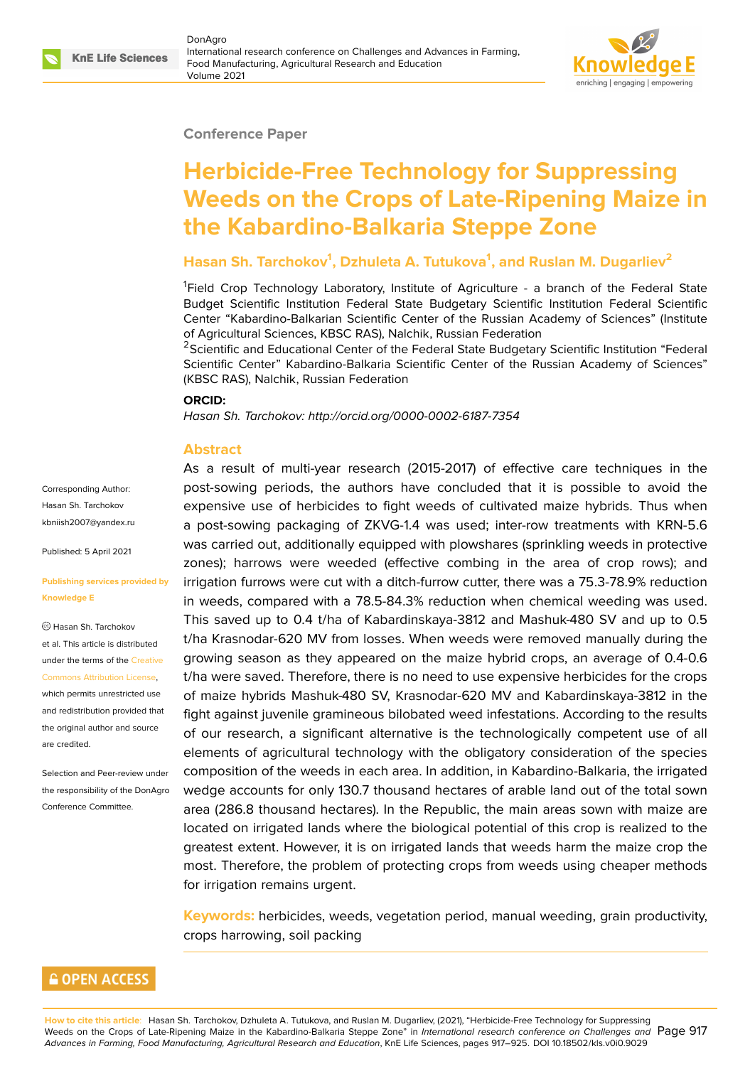#### **Conference Paper**

# **Herbicide-Free Technology for Suppressing Weeds on the Crops of Late-Ripening Maize in the Kabardino-Balkaria Steppe Zone**

## **Hasan Sh. Tarchokov<sup>1</sup> , Dzhuleta A. Tutukova<sup>1</sup> , and Ruslan M. Dugarliev<sup>2</sup>**

<sup>1</sup>Field Crop Technology Laboratory, Institute of Agriculture - a branch of the Federal State Budget Scientific Institution Federal State Budgetary Scientific Institution Federal Scientific Center "Kabardino-Balkarian Scientific Center of the Russian Academy of Sciences" (Institute of Agricultural Sciences, KBSC RAS), Nalchik, Russian Federation

<sup>2</sup>Scientific and Educational Center of the Federal State Budgetary Scientific Institution "Federal Scientific Center" Kabardino-Balkaria Scientific Center of the Russian Academy of Sciences" (KBSC RAS), Nalchik, Russian Federation

#### **ORCID:**

*Hasan Sh. Tarchokov: http://orcid.org/0000-0002-6187-7354*

#### **Abstract**

Corresponding Author: Hasan Sh. Tarchokov kbniish2007@yandex.ru

Published: 5 April 2021

#### **[Publishing services pro](mailto:kbniish2007@yandex.ru)vided by Knowledge E**

Hasan Sh. Tarchokov et al. This article is distributed under the terms of the Creative Commons Attribution License,

which permits unrestricted use and redistribution provided that the original author and [source](https://creativecommons.org/licenses/by/4.0/) [are credited.](https://creativecommons.org/licenses/by/4.0/)

Selection and Peer-review under the responsibility of the DonAgro Conference Committee.

As a result of multi-year research (2015-2017) of effective care techniques in the post-sowing periods, the authors have concluded that it is possible to avoid the expensive use of herbicides to fight weeds of cultivated maize hybrids. Thus when a post-sowing packaging of ZKVG-1.4 was used; inter-row treatments with KRN-5.6 was carried out, additionally equipped with plowshares (sprinkling weeds in protective zones); harrows were weeded (effective combing in the area of crop rows); and irrigation furrows were cut with a ditch-furrow cutter, there was a 75.3-78.9% reduction in weeds, compared with a 78.5-84.3% reduction when chemical weeding was used. This saved up to 0.4 t/ha of Kabardinskaya-3812 and Mashuk-480 SV and up to 0.5 t/ha Krasnodar-620 MV from losses. When weeds were removed manually during the growing season as they appeared on the maize hybrid crops, an average of 0.4-0.6 t/ha were saved. Therefore, there is no need to use expensive herbicides for the crops of maize hybrids Mashuk-480 SV, Krasnodar-620 MV and Kabardinskaya-3812 in the fight against juvenile gramineous bilobated weed infestations. According to the results of our research, a significant alternative is the technologically competent use of all elements of agricultural technology with the obligatory consideration of the species composition of the weeds in each area. In addition, in Kabardino-Balkaria, the irrigated wedge accounts for only 130.7 thousand hectares of arable land out of the total sown area (286.8 thousand hectares). In the Republic, the main areas sown with maize are located on irrigated lands where the biological potential of this crop is realized to the greatest extent. However, it is on irrigated lands that weeds harm the maize crop the most. Therefore, the problem of protecting crops from weeds using cheaper methods for irrigation remains urgent.

**Keywords:** herbicides, weeds, vegetation period, manual weeding, grain productivity, crops harrowing, soil packing

## **GOPEN ACCESS**

**How to cite this article**: Hasan Sh. Tarchokov, Dzhuleta A. Tutukova, and Ruslan M. Dugarliev, (2021), "Herbicide-Free Technology for Suppressing Weeds on the Crops of Late-Ripening Maize in the Kabardino-Balkaria Steppe Zone" in *International research conference on Challenges and* Page 917 *Advances in Farming, Food Manufacturing, Agricultural Research and Education*, KnE Life Sciences, pages 917–925. DOI 10.18502/kls.v0i0.9029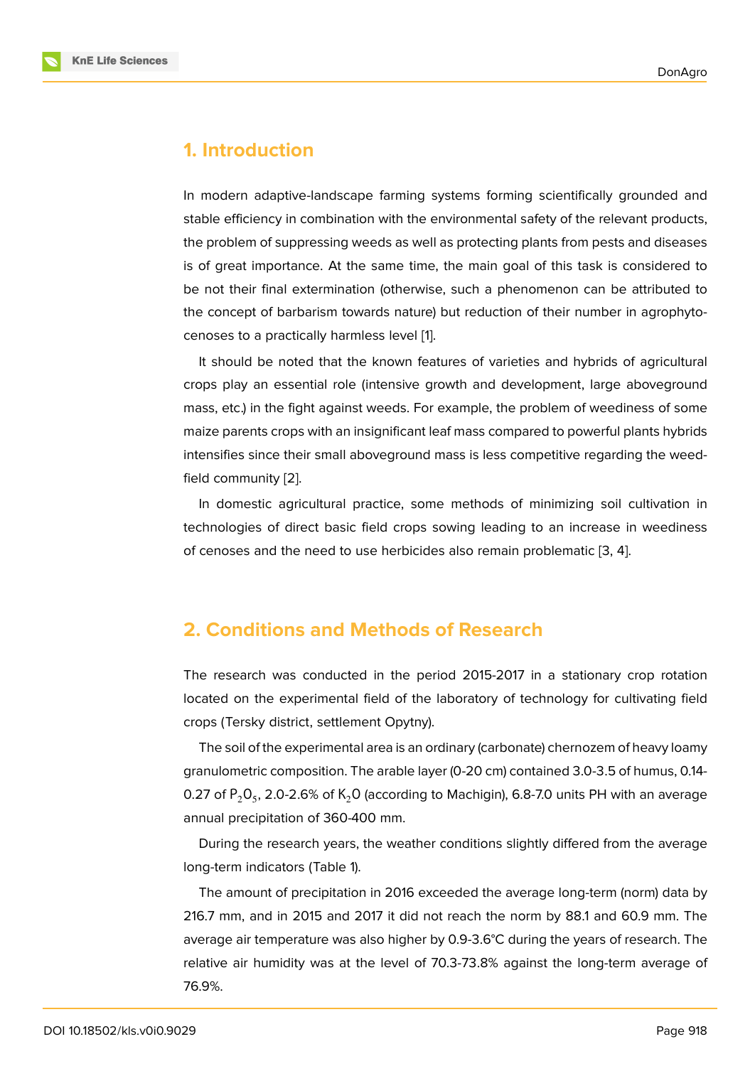#### **1. Introduction**

In modern adaptive-landscape farming systems forming scientifically grounded and stable efficiency in combination with the environmental safety of the relevant products, the problem of suppressing weeds as well as protecting plants from pests and diseases is of great importance. At the same time, the main goal of this task is considered to be not their final extermination (otherwise, such a phenomenon can be attributed to the concept of barbarism towards nature) but reduction of their number in agrophytocenoses to a practically harmless level [1].

It should be noted that the known features of varieties and hybrids of agricultural crops play an essential role (intensive growth and development, large aboveground mass, etc.) in the fight against weeds. F[or](#page-8-0) example, the problem of weediness of some maize parents crops with an insignificant leaf mass compared to powerful plants hybrids intensifies since their small aboveground mass is less competitive regarding the weedfield community [2].

In domestic agricultural practice, some methods of minimizing soil cultivation in technologies of direct basic field crops sowing leading to an increase in weediness of cenoses and t[he](#page-8-1) need to use herbicides also remain problematic [3, 4].

## **2. Conditions and Methods of Research**

The research was conducted in the period 2015-2017 in a stationary crop rotation located on the experimental field of the laboratory of technology for cultivating field crops (Tersky district, settlement Opytny).

The soil of the experimental area is an ordinary (carbonate) chernozem of heavy loamy granulometric composition. The arable layer (0-20 cm) contained 3.0-3.5 of humus, 0.14- 0.27 of  $\mathsf{P}_2\mathsf{O}_5$ , 2.0-2.6% of  $\mathsf{K}_2\mathsf{O}$  (according to Machigin), 6.8-7.0 units PH with an average annual precipitation of 360-400 mm.

During the research years, the weather conditions slightly differed from the average long-term indicators (Table 1).

The amount of precipitation in 2016 exceeded the average long-term (norm) data by 216.7 mm, and in 2015 and 2017 it did not reach the norm by 88.1 and 60.9 mm. The average air temperature was also higher by 0.9-3.6°C during the years of research. The relative air humidity was at the level of 70.3-73.8% against the long-term average of 76.9%.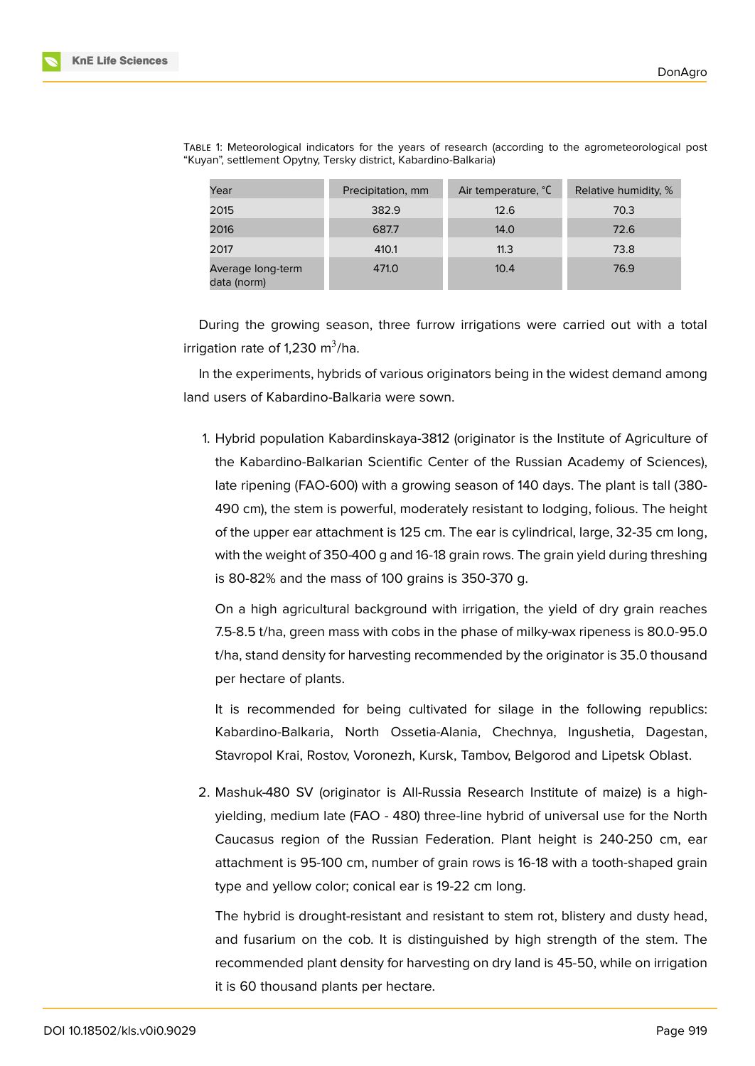| Year                             | Precipitation, mm | Air temperature, °C | Relative humidity, % |
|----------------------------------|-------------------|---------------------|----------------------|
| 2015                             | 382.9             | 12.6                | 70.3                 |
| 2016                             | 687.7             | 14.0                | 72.6                 |
| 2017                             | 410.1             | 11.3                | 73.8                 |
| Average long-term<br>data (norm) | 471.0             | 10.4                | 76.9                 |

TABLE 1: Meteorological indicators for the years of research (according to the agrometeorological post "Kuyan", settlement Opytny, Tersky district, Kabardino-Balkaria)

During the growing season, three furrow irrigations were carried out with a total irrigation rate of 1,230 m $^3$ /ha.

In the experiments, hybrids of various originators being in the widest demand among land users of Kabardino-Balkaria were sown.

1. Hybrid population Kabardinskaya-3812 (originator is the Institute of Agriculture of the Kabardino-Balkarian Scientific Center of the Russian Academy of Sciences), late ripening (FAO-600) with a growing season of 140 days. The plant is tall (380- 490 cm), the stem is powerful, moderately resistant to lodging, folious. The height of the upper ear attachment is 125 cm. The ear is cylindrical, large, 32-35 cm long, with the weight of 350-400 g and 16-18 grain rows. The grain yield during threshing is 80-82% and the mass of 100 grains is 350-370 g.

On a high agricultural background with irrigation, the yield of dry grain reaches 7.5-8.5 t/ha, green mass with cobs in the phase of milky-wax ripeness is 80.0-95.0 t/ha, stand density for harvesting recommended by the originator is 35.0 thousand per hectare of plants.

It is recommended for being cultivated for silage in the following republics: Kabardino-Balkaria, North Ossetia-Alania, Chechnya, Ingushetia, Dagestan, Stavropol Krai, Rostov, Voronezh, Kursk, Tambov, Belgorod and Lipetsk Oblast.

2. Mashuk-480 SV (originator is All-Russia Research Institute of maize) is a highyielding, medium late (FAO - 480) three-line hybrid of universal use for the North Caucasus region of the Russian Federation. Plant height is 240-250 cm, ear attachment is 95-100 cm, number of grain rows is 16-18 with a tooth-shaped grain type and yellow color; conical ear is 19-22 cm long.

The hybrid is drought-resistant and resistant to stem rot, blistery and dusty head, and fusarium on the cob. It is distinguished by high strength of the stem. The recommended plant density for harvesting on dry land is 45-50, while on irrigation it is 60 thousand plants per hectare.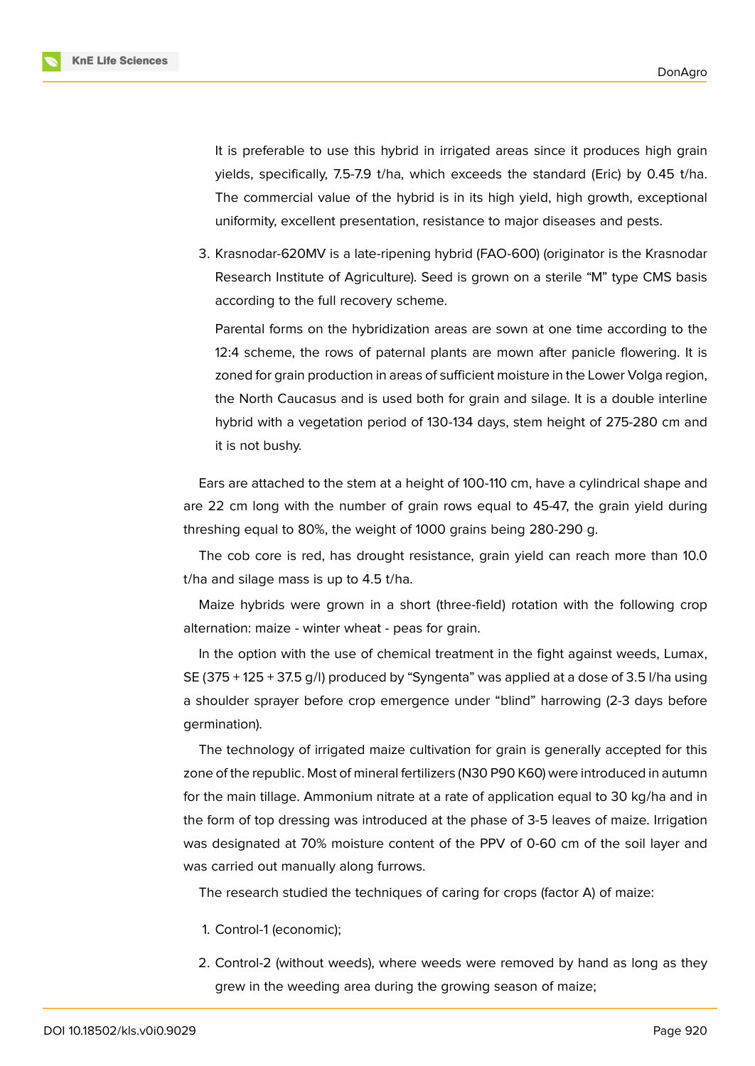It is preferable to use this hybrid in irrigated areas since it produces high grain yields, specifically, 7.5-7.9 t/ha, which exceeds the standard (Eric) by 0.45 t/ha. The commercial value of the hybrid is in its high yield, high growth, exceptional uniformity, excellent presentation, resistance to major diseases and pests.

3. Krasnodar-620MV is a late-ripening hybrid (FAO-600) (originator is the Krasnodar Research Institute of Agriculture). Seed is grown on a sterile "M" type CMS basis according to the full recovery scheme.

Parental forms on the hybridization areas are sown at one time according to the 12:4 scheme, the rows of paternal plants are mown after panicle flowering. It is zoned for grain production in areas of sufficient moisture in the Lower Volga region, the North Caucasus and is used both for grain and silage. It is a double interline hybrid with a vegetation period of 130-134 days, stem height of 275-280 cm and it is not bushy.

Ears are attached to the stem at a height of 100-110 cm, have a cylindrical shape and are 22 cm long with the number of grain rows equal to 45-47, the grain yield during threshing equal to 80%, the weight of 1000 grains being 280-290 g.

The cob core is red, has drought resistance, grain yield can reach more than 10.0 t/ha and silage mass is up to 4.5 t/ha.

Maize hybrids were grown in a short (three-field) rotation with the following crop alternation: maize - winter wheat - peas for grain.

In the option with the use of chemical treatment in the fight against weeds, Lumax, SE (375 + 125 + 37.5 g/l) produced by "Syngenta" was applied at a dose of 3.5 l/ha using a shoulder sprayer before crop emergence under "blind" harrowing (2-3 days before germination).

The technology of irrigated maize cultivation for grain is generally accepted for this zone of the republic. Most of mineral fertilizers (N30 P90 K60) were introduced in autumn for the main tillage. Ammonium nitrate at a rate of application equal to 30 kg/ha and in the form of top dressing was introduced at the phase of 3-5 leaves of maize. Irrigation was designated at 70% moisture content of the PPV of 0-60 cm of the soil layer and was carried out manually along furrows.

The research studied the techniques of caring for crops (factor A) of maize:

- 1. Control-1 (economic);
- 2. Control-2 (without weeds), where weeds were removed by hand as long as they grew in the weeding area during the growing season of maize;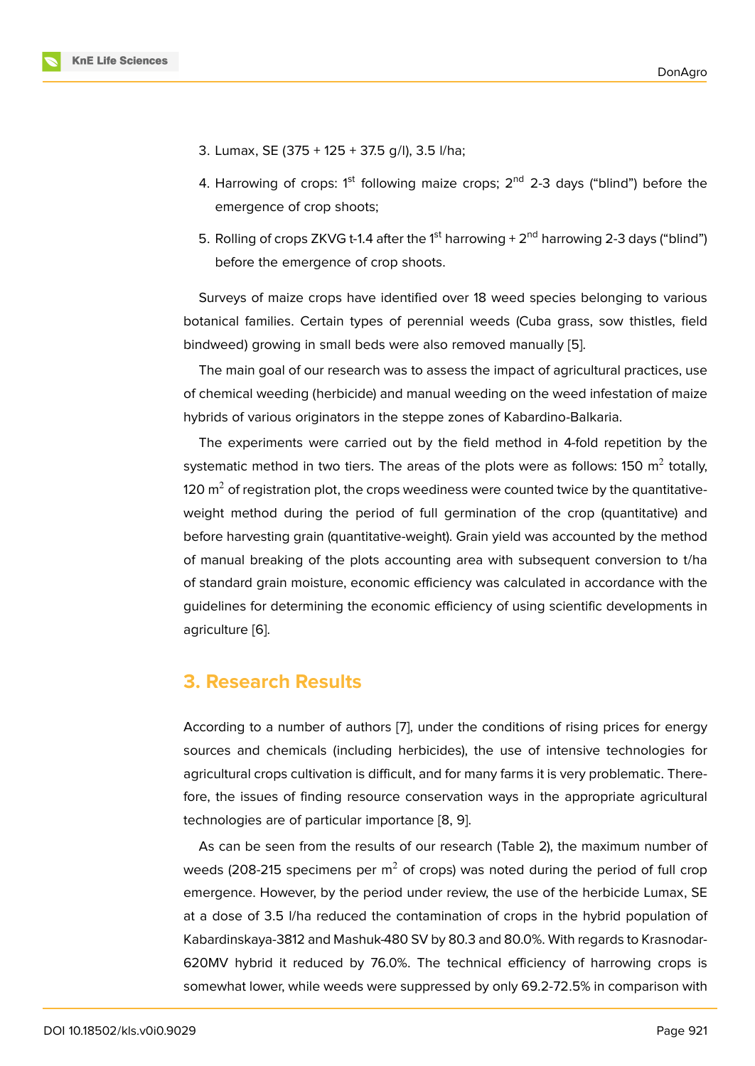- 3. Lumax, SE (375 + 125 + 37.5 g/l), 3.5 l/ha;
- 4. Harrowing of crops:  $1<sup>st</sup>$  following maize crops;  $2<sup>nd</sup>$  2-3 days ("blind") before the emergence of crop shoots;
- 5. Rolling of crops ZKVG t-1.4 after the  $1<sup>st</sup>$  harrowing +  $2<sup>nd</sup>$  harrowing 2-3 days ("blind") before the emergence of crop shoots.

Surveys of maize crops have identified over 18 weed species belonging to various botanical families. Certain types of perennial weeds (Cuba grass, sow thistles, field bindweed) growing in small beds were also removed manually [5].

The main goal of our research was to assess the impact of agricultural practices, use of chemical weeding (herbicide) and manual weeding on the weed infestation of maize hybrids of various originators in the steppe zones of Kabardino-[B](#page-8-2)alkaria.

The experiments were carried out by the field method in 4-fold repetition by the systematic method in two tiers. The areas of the plots were as follows: 150  $\mathrm{m}^2$  totally, 120  $\mathrm{m}^2$  of registration plot, the crops weediness were counted twice by the quantitativeweight method during the period of full germination of the crop (quantitative) and before harvesting grain (quantitative-weight). Grain yield was accounted by the method of manual breaking of the plots accounting area with subsequent conversion to t/ha of standard grain moisture, economic efficiency was calculated in accordance with the guidelines for determining the economic efficiency of using scientific developments in agriculture [6].

# **3. Rese[ar](#page-8-3)ch Results**

According to a number of authors [7], under the conditions of rising prices for energy sources and chemicals (including herbicides), the use of intensive technologies for agricultural crops cultivation is difficult, and for many farms it is very problematic. Therefore, the issues of finding resourc[e c](#page-8-4)onservation ways in the appropriate agricultural technologies are of particular importance [8, 9].

As can be seen from the results of our research (Table 2), the maximum number of weeds (208-215 specimens per  $m^2$  of crops) was noted during the period of full crop emergence. However, by the period unde[r r](#page-8-5)[ev](#page-8-6)iew, the use of the herbicide Lumax, SE at a dose of 3.5 l/ha reduced the contamination of crops in the hybrid population of Kabardinskaya-3812 and Mashuk-480 SV by 80.3 and 80.0%. With regards to Krasnodar-620MV hybrid it reduced by 76.0%. The technical efficiency of harrowing crops is somewhat lower, while weeds were suppressed by only 69.2-72.5% in comparison with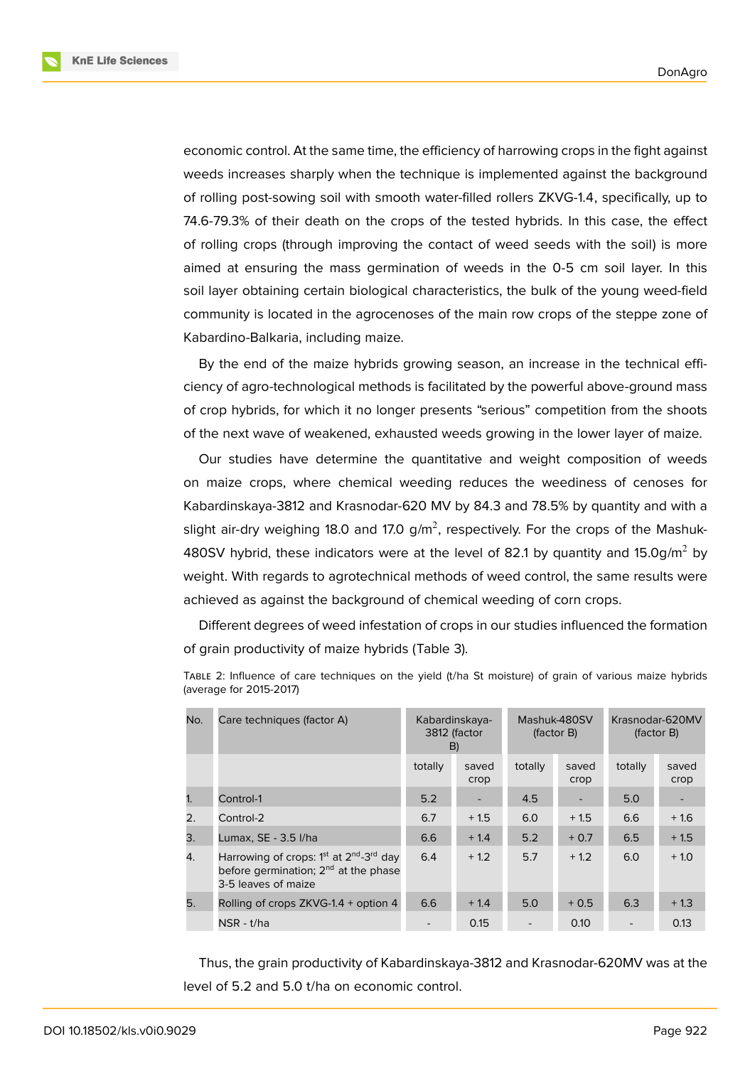**KnE Life Sciences** 



economic control. At the same time, the efficiency of harrowing crops in the fight against weeds increases sharply when the technique is implemented against the background of rolling post-sowing soil with smooth water-filled rollers ZKVG-1.4, specifically, up to 74.6-79.3% of their death on the crops of the tested hybrids. In this case, the effect of rolling crops (through improving the contact of weed seeds with the soil) is more aimed at ensuring the mass germination of weeds in the 0-5 cm soil layer. In this soil layer obtaining certain biological characteristics, the bulk of the young weed-field community is located in the agrocenoses of the main row crops of the steppe zone of Kabardino-Balkaria, including maize.

By the end of the maize hybrids growing season, an increase in the technical efficiency of agro-technological methods is facilitated by the powerful above-ground mass of crop hybrids, for which it no longer presents "serious" competition from the shoots of the next wave of weakened, exhausted weeds growing in the lower layer of maize.

Our studies have determine the quantitative and weight composition of weeds on maize crops, where chemical weeding reduces the weediness of cenoses for Kabardinskaya-3812 and Krasnodar-620 MV by 84.3 and 78.5% by quantity and with a slight air-dry weighing 18.0 and 17.0 g/m<sup>2</sup>, respectively. For the crops of the Mashuk-480SV hybrid, these indicators were at the level of 82.1 by quantity and  $15.0$ g/m<sup>2</sup> by weight. With regards to agrotechnical methods of weed control, the same results were achieved as against the background of chemical weeding of corn crops.

Different degrees of weed infestation of crops in our studies influenced the formation of grain productivity of maize hybrids (Table 3).

| No. | Care techniques (factor A)                                                                                                         |         | Kabardinskaya-<br>3812 (factor<br>B) |         | Mashuk-480SV<br>(factor B) |         | Krasnodar-620MV<br>(factor B) |  |
|-----|------------------------------------------------------------------------------------------------------------------------------------|---------|--------------------------------------|---------|----------------------------|---------|-------------------------------|--|
|     |                                                                                                                                    | totally | saved<br>crop                        | totally | saved<br>crop              | totally | saved<br>crop                 |  |
| 1.  | Control-1                                                                                                                          | 5.2     | $\overline{\phantom{a}}$             | 4.5     |                            | 5.0     |                               |  |
| 2.  | Control-2                                                                                                                          | 6.7     | $+1.5$                               | 6.0     | $+1.5$                     | 6.6     | $+1.6$                        |  |
| 3.  | Lumax, SE - 3.5 I/ha                                                                                                               | 6.6     | $+1.4$                               | 5.2     | $+0.7$                     | 6.5     | $+1.5$                        |  |
| 4.  | Harrowing of crops: $1st$ at $2nd$ -3 <sup>rd</sup> day<br>before germination; 2 <sup>nd</sup> at the phase<br>3-5 leaves of maize | 6.4     | $+1.2$                               | 5.7     | $+1.2$                     | 6.0     | $+1.0$                        |  |
| 5.  | Rolling of crops ZKVG-1.4 + option 4                                                                                               | 6.6     | $+1.4$                               | 5.0     | $+0.5$                     | 6.3     | $+1.3$                        |  |
|     | NSR - t/ha                                                                                                                         |         | 0.15                                 |         | 0.10                       |         | 0.13                          |  |

TABLE 2: Influence of care techniques on the yield (t/ha St moisture) of grain of various maize hybrids (average for 2015-2017)

Thus, the grain productivity of Kabardinskaya-3812 and Krasnodar-620MV was at the level of 5.2 and 5.0 t/ha on economic control.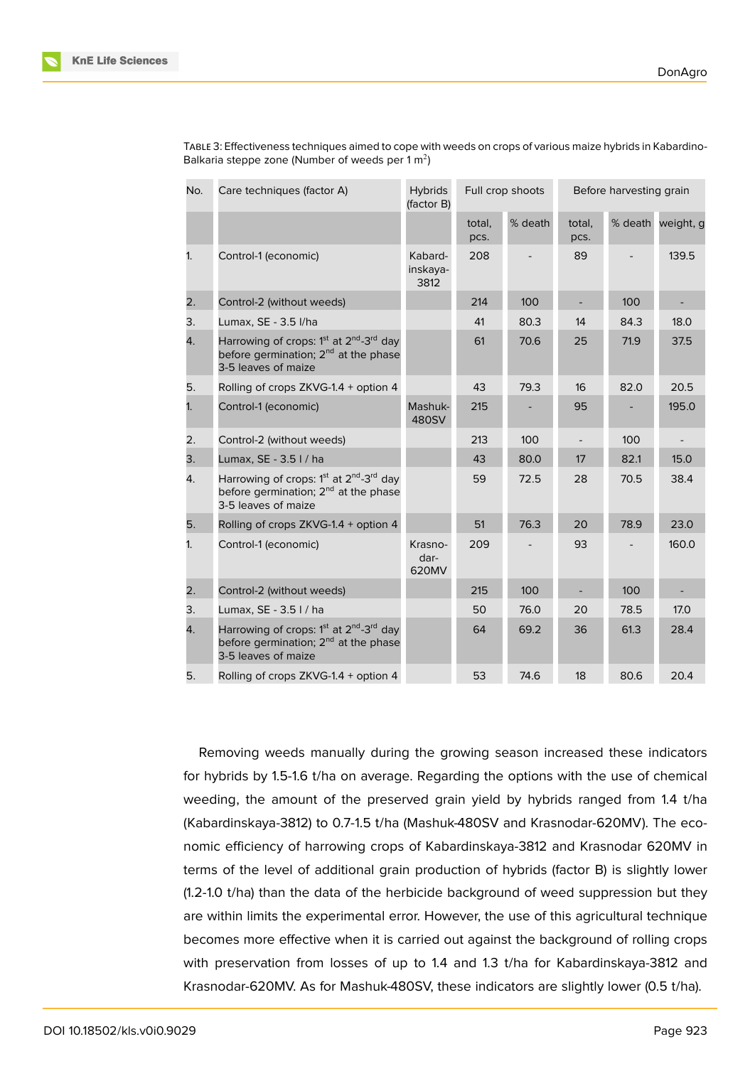| No. | Care techniques (factor A)                                                                                                                             | <b>Hybrids</b><br>(factor B) |                | Full crop shoots |                          | Before harvesting grain |                          |  |
|-----|--------------------------------------------------------------------------------------------------------------------------------------------------------|------------------------------|----------------|------------------|--------------------------|-------------------------|--------------------------|--|
|     |                                                                                                                                                        |                              | total,<br>pcs. | % death          | total,<br>pcs.           |                         | % death weight, g        |  |
| 1.  | Control-1 (economic)                                                                                                                                   | Kabard-<br>inskaya-<br>3812  | 208            |                  | 89                       |                         | 139.5                    |  |
| 2.  | Control-2 (without weeds)                                                                                                                              |                              | 214            | 100              | $\overline{\phantom{a}}$ | 100                     | $\overline{\phantom{a}}$ |  |
| 3.  | Lumax, SE - 3.5 l/ha                                                                                                                                   |                              | 41             | 80.3             | 14                       | 84.3                    | 18.0                     |  |
| 4.  | Harrowing of crops: 1 <sup>st</sup> at 2 <sup>nd</sup> -3 <sup>rd</sup> day<br>before germination; 2 <sup>nd</sup> at the phase<br>3-5 leaves of maize |                              | 61             | 70.6             | 25                       | 71.9                    | 37.5                     |  |
| 5.  | Rolling of crops ZKVG-1.4 + option 4                                                                                                                   |                              | 43             | 79.3             | 16                       | 82.0                    | 20.5                     |  |
| 1.  | Control-1 (economic)                                                                                                                                   | Mashuk-<br>480SV             | 215            |                  | 95                       |                         | 195.0                    |  |
| 2.  | Control-2 (without weeds)                                                                                                                              |                              | 213            | 100              |                          | 100                     |                          |  |
| 3.  | Lumax, SE - 3.5 I / ha                                                                                                                                 |                              | 43             | 80.0             | 17                       | 82.1                    | 15.0                     |  |
| 4.  | Harrowing of crops: 1 <sup>st</sup> at 2 <sup>nd</sup> -3 <sup>rd</sup> day<br>before germination; 2 <sup>nd</sup> at the phase<br>3-5 leaves of maize |                              | 59             | 72.5             | 28                       | 70.5                    | 38.4                     |  |
| 5.  | Rolling of crops ZKVG-1.4 + option 4                                                                                                                   |                              | 51             | 76.3             | 20                       | 78.9                    | 23.0                     |  |
| 1.  | Control-1 (economic)                                                                                                                                   | Krasno-<br>dar-<br>620MV     | 209            |                  | 93                       |                         | 160.0                    |  |
| 2.  | Control-2 (without weeds)                                                                                                                              |                              | 215            | 100              |                          | 100                     |                          |  |
| 3.  | Lumax, SE - 3.5 I / ha                                                                                                                                 |                              | 50             | 76.0             | 20                       | 78.5                    | 17.0                     |  |
| 4.  | Harrowing of crops: 1 <sup>st</sup> at 2 <sup>nd</sup> -3 <sup>rd</sup> day<br>before germination; 2 <sup>nd</sup> at the phase<br>3-5 leaves of maize |                              | 64             | 69.2             | 36                       | 61.3                    | 28.4                     |  |
| 5.  | Rolling of crops ZKVG-1.4 + option 4                                                                                                                   |                              | 53             | 74.6             | 18                       | 80.6                    | 20.4                     |  |

TABLE 3: Effectiveness techniques aimed to cope with weeds on crops of various maize hybrids in Kabardino-Balkaria steppe zone (Number of weeds per 1 m<sup>2</sup>)

Removing weeds manually during the growing season increased these indicators for hybrids by 1.5-1.6 t/ha on average. Regarding the options with the use of chemical weeding, the amount of the preserved grain yield by hybrids ranged from 1.4 t/ha (Kabardinskaya-3812) to 0.7-1.5 t/ha (Mashuk-480SV and Krasnodar-620MV). The economic efficiency of harrowing crops of Kabardinskaya-3812 and Krasnodar 620MV in terms of the level of additional grain production of hybrids (factor B) is slightly lower (1.2-1.0 t/ha) than the data of the herbicide background of weed suppression but they are within limits the experimental error. However, the use of this agricultural technique becomes more effective when it is carried out against the background of rolling crops with preservation from losses of up to 1.4 and 1.3 t/ha for Kabardinskaya-3812 and Krasnodar-620MV. As for Mashuk-480SV, these indicators are slightly lower (0.5 t/ha).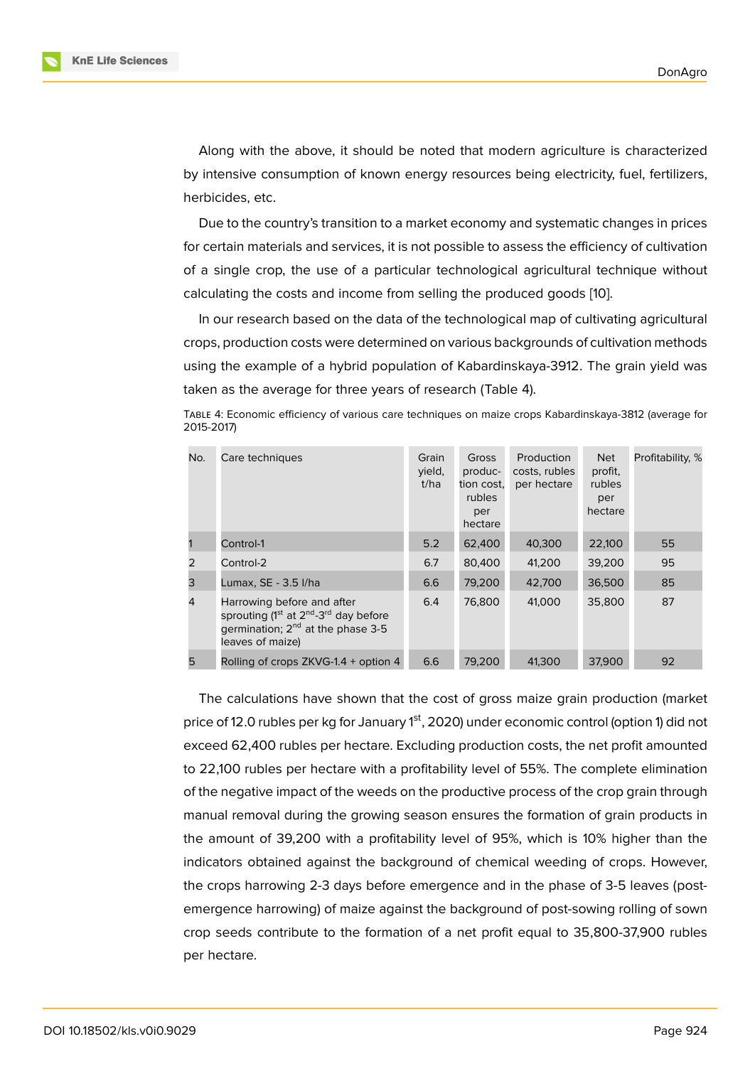Along with the above, it should be noted that modern agriculture is characterized by intensive consumption of known energy resources being electricity, fuel, fertilizers, herbicides, etc.

Due to the country's transition to a market economy and systematic changes in prices for certain materials and services, it is not possible to assess the efficiency of cultivation of a single crop, the use of a particular technological agricultural technique without calculating the costs and income from selling the produced goods [10].

In our research based on the data of the technological map of cultivating agricultural crops, production costs were determined on various backgrounds of cultivation methods using the example of a hybrid population of Kabardinskaya-3912. [The](#page-8-7) grain yield was taken as the average for three years of research (Table 4).

TABLE 4: Economic efficiency of various care techniques on maize crops Kabardinskaya-3812 (average for 2015-2017)

| No.            | Care techniques                                                                                                                                                              | Grain<br>yield,<br>t/ha | Gross<br>produc-<br>tion cost,<br>rubles<br>per<br>hectare | Production<br>costs, rubles<br>per hectare | <b>Net</b><br>profit,<br>rubles<br>per<br>hectare | Profitability, % |
|----------------|------------------------------------------------------------------------------------------------------------------------------------------------------------------------------|-------------------------|------------------------------------------------------------|--------------------------------------------|---------------------------------------------------|------------------|
|                | Control-1                                                                                                                                                                    | 5.2                     | 62,400                                                     | 40,300                                     | 22,100                                            | 55               |
| 2              | Control-2                                                                                                                                                                    | 6.7                     | 80,400                                                     | 41.200                                     | 39,200                                            | 95               |
| 3              | Lumax, SE - 3.5 I/ha                                                                                                                                                         | 6.6                     | 79,200                                                     | 42,700                                     | 36,500                                            | 85               |
| $\overline{4}$ | Harrowing before and after<br>sprouting (1 <sup>st</sup> at 2 <sup>nd</sup> -3 <sup>rd</sup> day before<br>germination; 2 <sup>nd</sup> at the phase 3-5<br>leaves of maize) | 6.4                     | 76,800                                                     | 41,000                                     | 35,800                                            | 87               |
| 5              | Rolling of crops ZKVG-1.4 + option 4                                                                                                                                         | 6.6                     | 79,200                                                     | 41,300                                     | 37,900                                            | 92               |

The calculations have shown that the cost of gross maize grain production (market price of 12.0 rubles per kg for January 1<sup>st</sup>, 2020) under economic control (option 1) did not exceed 62,400 rubles per hectare. Excluding production costs, the net profit amounted to 22,100 rubles per hectare with a profitability level of 55%. The complete elimination of the negative impact of the weeds on the productive process of the crop grain through manual removal during the growing season ensures the formation of grain products in the amount of 39,200 with a profitability level of 95%, which is 10% higher than the indicators obtained against the background of chemical weeding of crops. However, the crops harrowing 2-3 days before emergence and in the phase of 3-5 leaves (postemergence harrowing) of maize against the background of post-sowing rolling of sown crop seeds contribute to the formation of a net profit equal to 35,800-37,900 rubles per hectare.